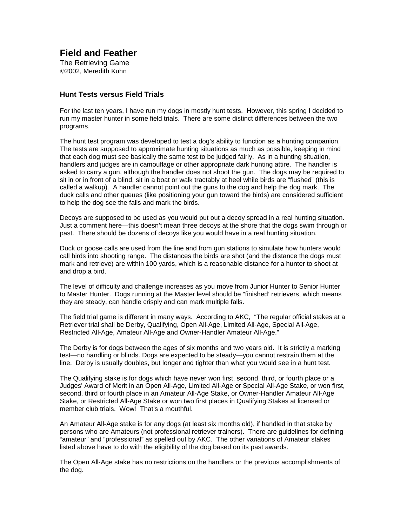**Field and Feather** 

**The Retrieving Game** ©2002. Meredith Kuhn

## **Hunt Tests versus Field Trials**

Forthelastten years, I have run my dogs in mostly hunt tests. Howe ver, this spring I decided to run my master hunterins ome field trials. The rearesome dist inct differences between the two programs.

The hunt test program was developed to test adog's ability to function as a hunting companion. The tests are supposed to approximate hunting situations as much as possible, keeping in mind thate achdog must se ebasically the same test to be judged fairly. A sina hunting situation, handlers and judges are incamouflage or other appropriated ark hunting attire. The handler is asked to carry a gun, although the handler does not shoot the gunnel of equired to required to sitinorinfrontofablind, sitinaboatorwalktractably at heel while birds are "flushed" (this is called a walkup). A handler cannot point out the qunst othe dog and help the dog mark. The duck calls and other queues (like positioning your gun toward the birds) are considered sufficient tohelp the dog see the falls and mark the birds.

Decoysare supposed to be used as you would put out a decoys pread in a real hunting situation. Just a comment here —this doesn't mean three decoys at the shore that the dogs swim through or past. There should be dozens of decoys like you would have in a real hunting situation.

Duck or goose calls are used from the line and from gun stations to simulate how hunters would call birds into shooting range . The distances the birds are shot (and the distance the dogs must mark and retrieve) are within 100 yards, which is a reasonable distance for a hunter to shoot at anddropabird.

The level of difficulty and challenge increases as you move from Junior H unter to Senior Hunter to Master Hunter. Dogs running at the Master levels hould be "finished' retrievers, which means they are steady, can handle crisply and can mark multiple falls.

The field trial game is different in many ways. According to AKC, "Term the regular official stakes at a RetrievertrialshallbeDerby, Qualifying, Open All - Age, Limited All -Age, Special All -Age, Restricted All -Age, Amateur All -Age and Owner -Handler Amateur All -Age."

The Derby is for dogs between the ages of six months and twicked over a sold. It is strictly a marking test—no handling or blinds. Dogs are expected to be steady —you cannot restrain them at the line. Derby is usually doubles, but longer and tighter than what you would see in a hunt test.

The Qualifying stake is fo rdogs which have never won first, second, third, or fourth place or a Judges' Award of Meritinan Open All - Age, Limited All - Ageor Special All - Age Stake, or won first, second, third or fourth place in an Amateur All - Age Stake, or Owner - Handler Amateur Al I-Age Stake, or Restricted All - Age Stake or wontwo first places in Qualifying Stakes at licensed or member club trials. Wow! That's a mouthful.

An Amateur All - Agestake is for any dogs (at least six monthsold), if handled in that stake by persons who are Amateurs (not professional retriever trainers). The reare quidelines for defining "amateur" and "professional" as spelled out by AKC. The other variations of Amateur stakes listed above have to do with the eligibility of the dog based on its past awa rds.

The Open All - Agestake has no restrictions on the handlers or the previous accomplishments of the dog.